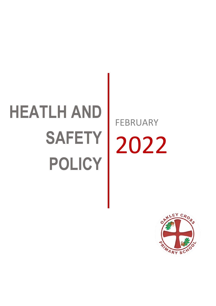# **HEATLH AND SAFETY POLICY**

FEBRUARY 2022

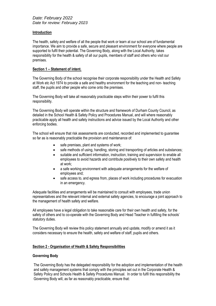### **Introduction**

The health, safety and welfare of all the people that work or learn at our school are of fundamental importance. We aim to provide a safe, secure and pleasant environment for everyone where people are supported to fulfil their potential. The Governing Body, along with the Local Authority, takes responsibility for the health & safety of all our pupils, members of staff and others who visit our premises.

## **Section 1 – Statement of intent.**

The Governing Body of the school recognise their corporate responsibility under the Health and Safety at Work etc Act 1974 to provide a safe and healthy environment for the teaching and non- teaching staff, the pupils and other people who come onto the premises.

The Governing Body will take all reasonably practicable steps within their power to fulfil this responsibility.

The Governing Body will operate within the structure and framework of Durham County Council, as detailed in the School Health & Safety Policy and Procedures Manual, and will where reasonably practicable apply all health and safety instructions and advice issued by the Local Authority and other enforcing bodies.

The school will ensure that risk assessments are conducted, recorded and implemented to guarantee so far as is reasonably practicable the provision and maintenance of:

- safe premises, plant and systems of work;
- safe methods of using, handling, storing and transporting of articles and substances;
- suitable and sufficient information, instruction, training and supervision to enable all employees to avoid hazards and contribute positively to their own safety and health at work;
- a safe working environment with adequate arrangements for the welfare of employees and;
- safe access to, and egress from, places of work including procedures for evacuation in an emergency.

Adequate facilities and arrangements will be maintained to consult with employees, trade union representatives and the relevant internal and external safety agencies, to encourage a joint approach to the management of health safety and welfare.

All employees have a legal obligation to take reasonable care for their own health and safety, for the safety of others and to co-operate with the Governing Body and Head Teacher in fulfilling the schools' statutory duties.

The Governing Body will review this policy statement annually and update, modify or amend it as it considers necessary to ensure the health, safety and welfare of staff, pupils and others.

# **Section 2 - Organisation of Health & Safety Responsibilities**

# **Governing Body**

The Governing Body has the delegated responsibility for the adoption and implementation of the health and safety management systems that comply with the principles set out in the Corporate Health & Safety Policy and Schools Health & Safety Procedures Manual. In order to fulfil this responsibility the Governing Body will, as far as reasonably practicable, ensure that: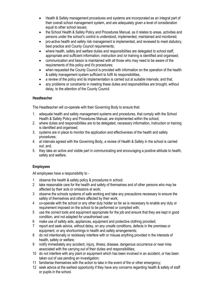- Health & Safety management procedures and systems are incorporated as an integral part of their overall school management system, and are adequately given a level of consideration equal to other school issues;
- the School Health & Safety Policy and Procedures Manual, as it relates to areas, activities and persons under the school's control is understood, implemented, maintained and monitored;
- pro-active health and safety risk management is implemented, and reviewed to meet statutory, best practice and County Council requirements;
- where health, safety and welfare duties and responsibilities are delegated to school staff. appropriate and sufficient information, instruction and /or training is identified and organised;
- communication and liaison is maintained with all those who may need to be aware of the requirements of this policy and it's procedures;
- when requested the County Council is provided with information on the operation of the health & safety management system sufficient to fulfil its responsibilities,
- a review of the policy and its implementation is carried out at suitable intervals; and that,
- any problems or constraints in meeting these duties and responsibilities are brought, without delay, to the attention of the County Council.

# **Headteacher**

The Headteacher will co-operate with their Governing Body to ensure that:

- 1. adequate health and safety management systems and procedures, that comply with the School Health & Safety Policy and Procedures Manual, are implemented within the school;
- 2. where duties and responsibilities are to be delegated, necessary information, instruction or training is identified and organised;
- 3. systems are in place to monitor the application and effectiveness of the health and safety procedures;
- 4. at intervals agreed with the Governing Body, a review of Health & Safety in the school is carried out; and,
- 5. they take an active and visible part in communicating and encouraging a positive attitude to health, safety and welfare.

# **Employees**

All employees have a responsibility to -

- 1 observe the health & safety policy & procedures in school;
- 2 take reasonable care for the health and safety of themselves and of other persons who may be affected by their acts or omissions at work;
- 3 observe the schools systems of safe working and take any precautions necessary to ensure the safety of themselves and others affected by their work;
- 4 co-operate with the school or any other duty holder so far as is necessary to enable any duty or requirement imposed on the school to be performed or complied with;
- 5 use the correct tools and equipment appropriate for the job and ensure that they are kept in good condition, and not adapted for unauthorised use;
- 6 make use of safety aids, appliances, equipment and protective clothing provided;
- 7 report and seek advice, without delay, on any unsafe conditions, defects in the premises or equipment, or any shortcomings in health and safety arrangements;
- 8 do not intentionally or recklessly interfere with or misuse anything provided in the interests of health, safety or welfare;
- 9 notify immediately any accident, injury, illness, disease, dangerous occurrence or near miss associated with the carrying out of their duties and responsibilities;
- 10 do not interfere with any plant or equipment which has been involved in an accident, or has been taken out of use pending an investigation;
- 11 familiarise themselves with the action to take in the event of fire or other emergency;
- 12 seek advice at the earliest opportunity if they have any concerns regarding health & safety of staff or pupils in the school.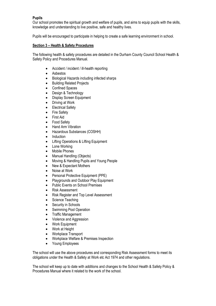# **Pupils**

Our school promotes the spiritual growth and welfare of pupils, and aims to equip pupils with the skills, knowledge and understanding to live positive, safe and healthy lives.

Pupils will be encouraged to participate in helping to create a safe learning environment in school.

### **Section 3 – Health & Safety Procedures**

The following health & safety procedures are detailed in the Durham County Council School Health & Safety Policy and Procedures Manual.

- Accident / incident / ill-health reporting
- Asbestos
- Biological Hazards including infected sharps
- Building Related Projects
- Confined Spaces
- Design & Technology
- Display Screen Equipment
- Driving at Work
- Electrical Safety
- Fire Safety
- **First Aid**
- Food Safety
- Hand Arm Vibration
- Hazardous Substances (COSHH)
- Induction
- Lifting Operations & Lifting Equipment
- Lone Working
- Mobile Phones
- Manual Handling (Objects)
- Moving & Handling Pupils and Young People
- New & Expectant Mothers
- Noise at Work
- Personal Protective Equipment (PPE)
- Playgrounds and Outdoor Play Equipment
- Public Events on School Premises
- Risk Assessment
- Risk Register and Top Level Assessment
- Science Teaching
- Security in Schools
- Swimming Pool Operation
- Traffic Management
- Violence and Aggression
- Work Equipment
- Work at Height
- Workplace Transport
- Workplace Welfare & Premises Inspection
- Young Employees

The school will use the above procedures and corresponding Risk Assessment forms to meet its obligations under the Health & Safety at Work etc Act 1974 and other regulations.

The school will keep up to date with additions and changes to the School Health & Safety Policy & Procedures Manual where it related to the work of the school.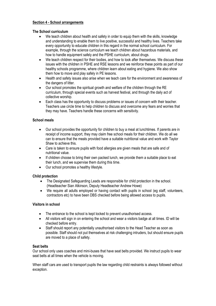### **Section 4 - School arrangements**

#### **The School curriculum**

- We teach children about health and safety in order to equip them with the skills, knowledge and understanding to enable them to live positive, successful and healthy lives. Teachers take every opportunity to educate children in this regard in the normal school curriculum. For example, through the science curriculum we teach children about hazardous materials, and how to handle equipment safely and the PSHE curriculum, about drugs.
- We teach children respect for their bodies, and how to look after themselves. We discuss these issues with the children in PSHE and RSE lessons and we reinforce these points as part of our healthy schools programme, where children learn about eating and hygiene. We also show them how to move and play safely in PE lessons.
- Health and safety issues also arise when we teach care for the environment and awareness of the dangers of litter.
- Our school promotes the spiritual growth and welfare of the children through the RE curriculum, through special events such as harvest festival, and through the daily act of collective worship.
- Each class has the opportunity to discuss problems or issues of concern with their teacher. Teachers use circle time to help children to discuss and overcome any fears and worries that they may have. Teachers handle these concerns with sensitivity.

### **School meals**

- Our school provides the opportunity for children to buy a meal at lunchtimes. If parents are in receipt of income support, they may claim free school meals for their children. We do all we can to ensure that the meals provided have a suitable nutritional value and work with Taylor Shaw to achieve this.
- Care is taken to ensure pupils with food allergies are given meals that are safe and of nutritional value.
- If children choose to bring their own packed lunch, we provide them a suitable place to eat their lunch, and we supervise them during this time.
- Our school promotes a healthy lifestyle.

#### **Child protection**

- The Designated Safeguarding Leads are responsible for child protection in the school. (Headteacher Sian Atkinson, Deputy Headteacher Andrew Howe)
- We require all adults employed or having contact with pupils in school (eq staff, volunteers, contractors etc) to have been DBS checked before being allowed access to pupils.

#### **Visitors in school**

- The entrance to the school is kept locked to prevent unauthorised access.
- All visitors will sign in on entering the school and wear a visitors badge at all times. ID will be checked before entry.
- Staff should report any potentially unauthorised visitors to the Head Teacher as soon as possible. Staff should not put themselves at risk challenging intruders, but should ensure pupils are moved to a place of safety.

#### **Seat belts**

Our school only uses coaches and mini-buses that have seat belts provided. We instruct pupils to wear seat belts at all times when the vehicle is moving.

When staff cars are used to transport pupils the law regarding child restraints is always followed without exception.